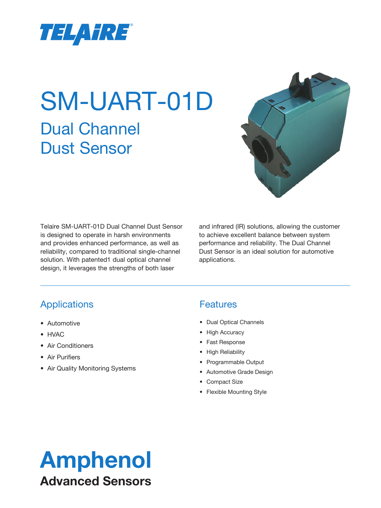

# SM-UART-01D Dual Channel Dust Sensor



Telaire SM-UART-01D Dual Channel Dust Sensor is designed to operate in harsh environments and provides enhanced performance, as well as reliability, compared to traditional single-channel solution. With patented1 dual optical channel design, it leverages the strengths of both laser

and infrared (IR) solutions, allowing the customer to achieve excellent balance between system performance and reliability. The Dual Channel Dust Sensor is an ideal solution for automotive applications.

### Applications

- Automotive
- HVAC
- Air Conditioners
- Air Purifiers
- Air Quality Monitoring Systems

#### **Features**

- Dual Optical Channels
- High Accuracy
- Fast Response
- High Reliability
- Programmable Output
- Automotive Grade Design
- Compact Size
- Flexible Mounting Style

### Amphenol Advanced Sensors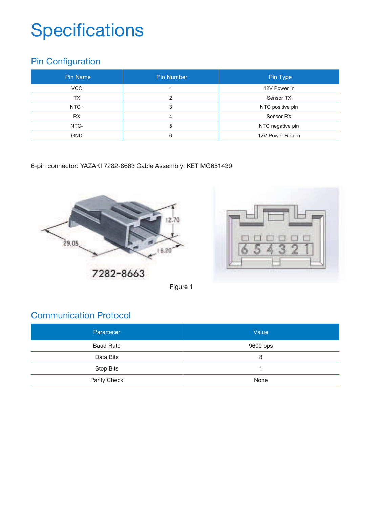# **Specifications**

### Pin Configuration

| Pin Name   | <b>Pin Number</b> | Pin Type         |
|------------|-------------------|------------------|
| <b>VCC</b> |                   | 12V Power In     |
| ТX         |                   | Sensor TX        |
| NTC+       |                   | NTC positive pin |
| <b>RX</b>  | 4                 | Sensor RX        |
| NTC-       | 5                 | NTC negative pin |
| <b>GND</b> | 6                 | 12V Power Return |

6-pin connector: YAZAKI 7282-8663 Cable Assembly: KET MG651439





Figure 1

#### Communication Protocol

| Parameter        | Value    |
|------------------|----------|
| <b>Baud Rate</b> | 9600 bps |
| Data Bits        | 8        |
| Stop Bits        |          |
| Parity Check     | None     |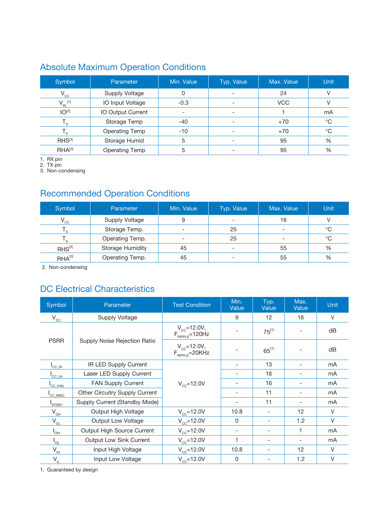#### Absolute Maximum Operation Conditions

| Symbol                  | Parameter             | Min. Value | Typ. Value               | Max. Value | Unit         |
|-------------------------|-----------------------|------------|--------------------------|------------|--------------|
| $V_{cc}$                | <b>Supply Voltage</b> | 0          | $\overline{\phantom{a}}$ | 24         | V            |
| $V_{IN}$ [1]            | IO Input Voltage      | $-0.3$     |                          | <b>VCC</b> |              |
| IO <sup>[2]</sup>       | IO Output Current     |            |                          |            | mA           |
| $\mathsf{I}_\mathsf{S}$ | Storage Temp          | $-40$      | $\overline{\phantom{0}}$ | $+70$      | $^{\circ}$ C |
|                         | <b>Operating Temp</b> | $-10$      |                          | $+70$      | $^{\circ}$ C |
| RHS <sup>[3]</sup>      | Storage Humid         | 5          |                          | 95         | $\%$         |
| $RHA^{[3]}$             | <b>Operating Temp</b> | 5          | $\overline{\phantom{0}}$ | 95         | %            |

1. RX pin

2. TX pin

3. Non-condensing

#### Recommended Operation Conditions

| Symbol        | Parameter               | Min. Value               | Typ. Value               | Max. Value               | Unit         |
|---------------|-------------------------|--------------------------|--------------------------|--------------------------|--------------|
| $V_{\rm cc}$  | <b>Supply Voltage</b>   | 9                        | $\overline{\phantom{0}}$ | 16                       |              |
| $^{\prime}$ s | Storage Temp.           | $\overline{\phantom{0}}$ | 25                       |                          | $^{\circ}$ C |
|               | Operating Temp.         | $\overline{\phantom{a}}$ | 25                       | $\overline{\phantom{0}}$ | $^{\circ}C$  |
| $RHS^{[3]}$   | <b>Storage Humidity</b> | 45                       | $\overline{\phantom{a}}$ | 55                       | $\%$         |
| $HHA^{[3]}$   | Operating Temp.         | 45                       | $\overline{\phantom{0}}$ | 55                       | %            |

3. Non-condensing

#### DC Electrical Characteristics

| Symbol                                  | Parameter                      | <b>Test Condition</b>                        | Min.<br>Value            | Typ.<br>Value            | Max.<br>Value                | Unit   |
|-----------------------------------------|--------------------------------|----------------------------------------------|--------------------------|--------------------------|------------------------------|--------|
| $\mathsf{V}_{\mathsf{CC}}$              | Supply Voltage                 |                                              | 9                        | $12 \overline{ }$        | 16                           | $\vee$ |
|                                         |                                | $V_{cc} = 12.0 V,$<br>$F_{RIPPLE} = 120 Hz$  |                          | $75^{[1]}$               |                              | dB     |
| <b>PSRR</b>                             | Supply Noise Rejection Ratio   | $V_{\rm cc}$ =12.0V,<br>$F_{RIPPLE} = 20KHz$ |                          | $65^{[1]}$               |                              | dB     |
| $\mathsf{I}_{\mathsf{CC\_IR}}$          | IR LED Supply Current          |                                              |                          | 13                       | $\qquad \qquad \blacksquare$ | mA     |
| $\mathsf{I}_{\mathsf{CC}\ \mathsf{LA}}$ | Laser LED Supply Current       |                                              | $\overline{\phantom{a}}$ | 16                       | $\overline{\phantom{a}}$     | mA     |
| $\mathsf{ICC\_FAN}$                     | FAN Supply Current             | $V_{\rm cc}$ =12.0V                          |                          | 16                       | $\qquad \qquad \blacksquare$ | mA     |
| <sup>I</sup> CC MISC                    | Other Circuitry Supply Current |                                              |                          | 11                       | $\qquad \qquad \blacksquare$ | mA     |
| <sup>I</sup> STDBY                      | Supply Current (Standby Mode)  |                                              |                          | 11                       | $\qquad \qquad \blacksquare$ | mA     |
| $V_{\underline{\rm OH}}$                | Output High Voltage            | $V_{\rm cc}$ =12.0V                          | 10.8                     |                          | 12                           | $\vee$ |
| $\mathsf{V}_{\underline{\mathsf{OL}}}$  | Output Low Voltage             | $V_{\rm cc}$ =12.0V                          | 0                        | $\overline{\phantom{a}}$ | 1.2                          | V      |
| $I_{\text{OH}}$                         | Output High Source Current     | $V_{\rm cc}$ =12.0V                          | $\overline{\phantom{a}}$ | $\overline{\phantom{a}}$ | 1                            | mA     |
| $I_{OL}$                                | <b>Output Low Sink Current</b> | $V_{\rm cc}$ =12.0V                          | 1                        | $\overline{\phantom{a}}$ | $\overline{\phantom{0}}$     | mA     |
| $V_{\underline{H}}$                     | Input High Voltage             | $V_{\rm cc}$ =12.0V                          | 10.8                     |                          | 12                           | $\vee$ |
| $V_{\underline{\mu}}$                   | Input Low Voltage              | $V_{\rm cc}$ =12.0V                          | 0                        | $\overline{\phantom{a}}$ | 1.2                          | V      |

1. Guaranteed by design